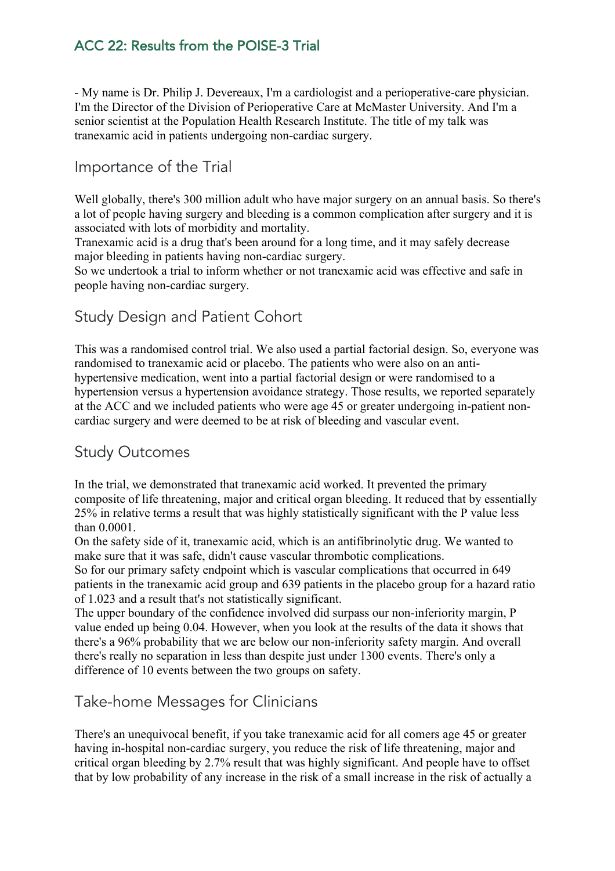## ACC 22: Results from the POISE-3 Trial

- My name is Dr. Philip J. Devereaux, I'm a cardiologist and a perioperative-care physician. I'm the Director of the Division of Perioperative Care at McMaster University. And I'm a senior scientist at the Population Health Research Institute. The title of my talk was tranexamic acid in patients undergoing non-cardiac surgery.

## Importance of the Trial

Well globally, there's 300 million adult who have major surgery on an annual basis. So there's a lot of people having surgery and bleeding is a common complication after surgery and it is associated with lots of morbidity and mortality.

Tranexamic acid is a drug that's been around for a long time, and it may safely decrease major bleeding in patients having non-cardiac surgery.

So we undertook a trial to inform whether or not tranexamic acid was effective and safe in people having non-cardiac surgery.

## Study Design and Patient Cohort

This was a randomised control trial. We also used a partial factorial design. So, everyone was randomised to tranexamic acid or placebo. The patients who were also on an antihypertensive medication, went into a partial factorial design or were randomised to a hypertension versus a hypertension avoidance strategy. Those results, we reported separately at the ACC and we included patients who were age 45 or greater undergoing in-patient noncardiac surgery and were deemed to be at risk of bleeding and vascular event.

#### Study Outcomes

In the trial, we demonstrated that tranexamic acid worked. It prevented the primary composite of life threatening, major and critical organ bleeding. It reduced that by essentially 25% in relative terms a result that was highly statistically significant with the P value less than 0.0001.

On the safety side of it, tranexamic acid, which is an antifibrinolytic drug. We wanted to make sure that it was safe, didn't cause vascular thrombotic complications.

So for our primary safety endpoint which is vascular complications that occurred in 649 patients in the tranexamic acid group and 639 patients in the placebo group for a hazard ratio of 1.023 and a result that's not statistically significant.

The upper boundary of the confidence involved did surpass our non-inferiority margin, P value ended up being 0.04. However, when you look at the results of the data it shows that there's a 96% probability that we are below our non-inferiority safety margin. And overall there's really no separation in less than despite just under 1300 events. There's only a difference of 10 events between the two groups on safety.

### Take-home Messages for Clinicians

There's an unequivocal benefit, if you take tranexamic acid for all comers age 45 or greater having in-hospital non-cardiac surgery, you reduce the risk of life threatening, major and critical organ bleeding by 2.7% result that was highly significant. And people have to offset that by low probability of any increase in the risk of a small increase in the risk of actually a